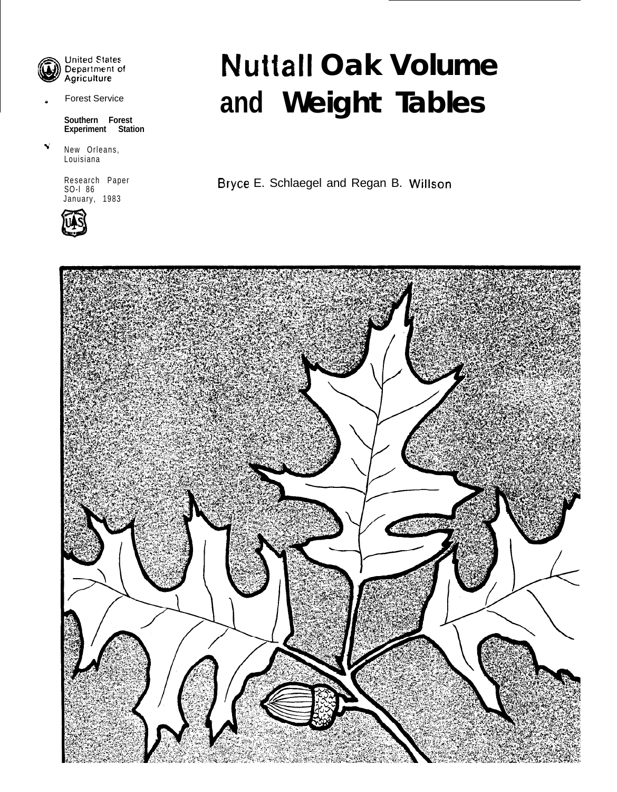

United States<br>Department of Agriculture

**Forest Service** 

**Southern Forest Experiment Station**

2' New Orleans, Louisiana

> Research Paper<br>SO-I 86 January, 1983



# **Nuttall Oak Volume and Weight Tables**

Bryce E. Schlaegel and Regan B. Willson

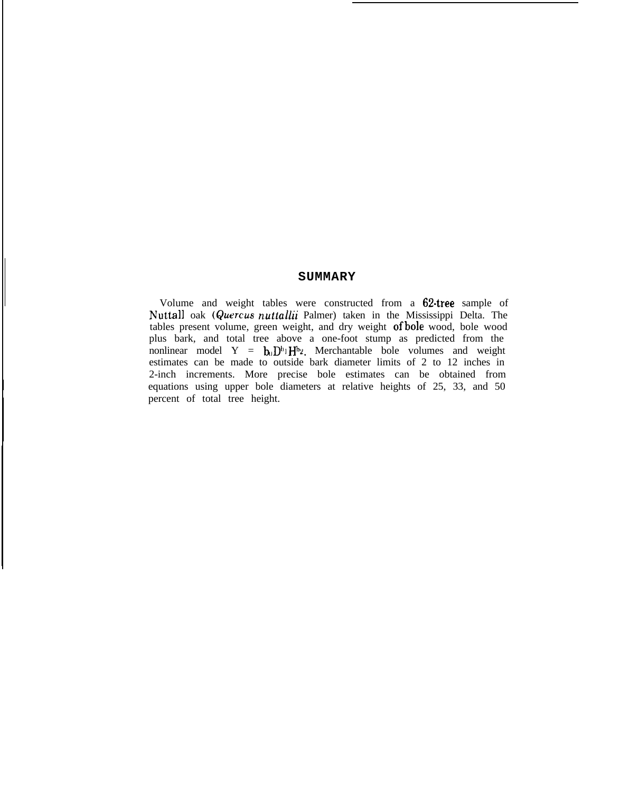#### **SUMMARY**

Volume and weight tables were constructed from a 62-tree sample of Nuttall oak *(Quercusnutkdlii* Palmer) taken in the Mississippi Delta. The tables present volume, green weight, and dry weight of bole wood, bole wood plus bark, and total tree above a one-foot stump as predicted from the nonlinear model Y =  $\mathbf{b}_0 \mathbf{D}^{b_1} \mathbf{H}^{b_2}$ . Merchantable bole volumes and weight estimates can be made to outside bark diameter limits of 2 to 12 inches in 2-inch increments. More precise bole estimates can be obtained from equations using upper bole diameters at relative heights of 25, 33, and 50 percent of total tree height.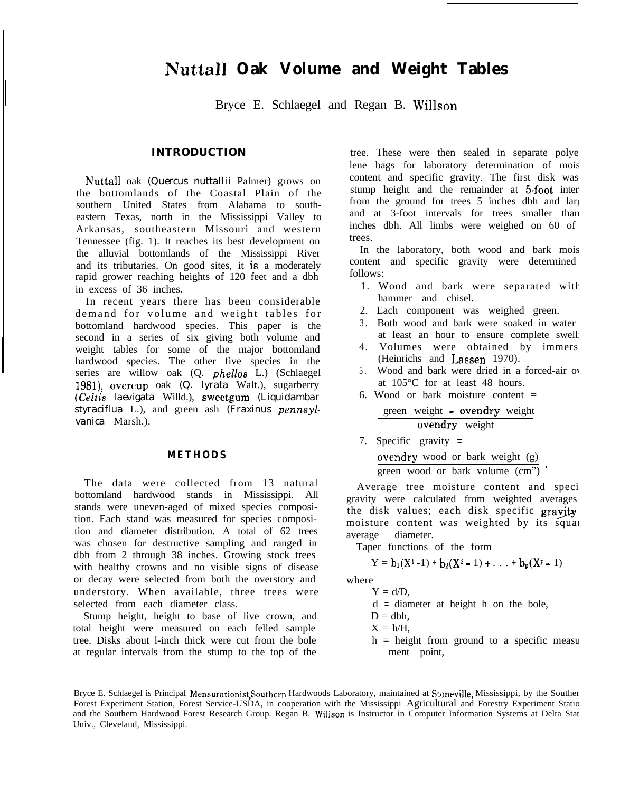## **Nuttall Oak Volume and Weight Tables**

Bryce E. Schlaegel and Regan B. Willson

#### **INTRODUCTION**

Nuttall oak *(Quercus nuttallii* Palmer) grows on the bottomlands of the Coastal Plain of the southern United States from Alabama to southeastern Texas, north in the Mississippi Valley to Arkansas, southeastern Missouri and western Tennessee (fig. 1). It reaches its best development on the alluvial bottomlands of the Mississippi River and its tributaries. On good sites, it is a moderately rapid grower reaching heights of 120 feet and a dbh in excess of 36 inches.

In recent years there has been considerable demand for volume and weight tables for bottomland hardwood species. This paper is the second in a series of six giving both volume and weight tables for some of the major bottomland hardwood species. The other five species in the series are willow oak (Q. *phellos* L.) (Schlaegel 1981), overcup oak *(Q. lyrata* Walt.), sugarberry *(Celtis laevigata* Willd.), sweetgum *(Liquidambar styraciflua* L.), and green ash *(Fraxinus pennsylvanica* Marsh.).

#### **METHODS**

The data were collected from 13 natural bottomland hardwood stands in Mississippi. All stands were uneven-aged of mixed species composition. Each stand was measured for species composition and diameter distribution. A total of 62 trees was chosen for destructive sampling and ranged in dbh from 2 through 38 inches. Growing stock trees with healthy crowns and no visible signs of disease or decay were selected from both the overstory and understory. When available, three trees were selected from each diameter class.

Stump height, height to base of live crown, and total height were measured on each felled sample tree. Disks about l-inch thick were cut from the bole at regular intervals from the stump to the top of the

tree. These were then sealed in separate polye lene bags for laboratory determination of mois content and specific gravity. The first disk was stump height and the remainder at 5-foot inter from the ground for trees  $5$  inches dbh and larger and at 3-foot intervals for trees smaller than inches dbh. All limbs were weighed on 60 of trees.

In the laboratory, both wood and bark mois content and specific gravity were determined follows:

- 1. Wood and bark were separated with hammer and chisel.
- 2. Each component was weighed green.
- 3. Both wood and bark were soaked in water at least an hour to ensure complete swell
- 4. Volumes were obtained by immers (Heinrichs and Lassen 1970).
- 5. Wood and bark were dried in a forced-air over at 105°C for at least 48 hours.
- 6. Wood or bark moisture content = green weight - ovendry weight

$$
\begin{array}{c}\n \overline{\text{o} \cdot \text{v}} \\
\overline{\text{o} \cdot \text{v}} \\
\overline{\text{o} \cdot \text{v}} \\
\overline{\text{v}} \\
\overline{\text{v}} \\
\overline{\text{v}} \\
\overline{\text{v}} \\
\overline{\text{v}} \\
\overline{\text{v}} \\
\overline{\text{v}} \\
\overline{\text{v}} \\
\overline{\text{v}} \\
\overline{\text{v}} \\
\overline{\text{v}} \\
\overline{\text{v}} \\
\overline{\text{v}} \\
\overline{\text{v}} \\
\overline{\text{v}} \\
\overline{\text{v}} \\
\overline{\text{v}} \\
\overline{\text{v}} \\
\overline{\text{v}} \\
\overline{\text{v}} \\
\overline{\text{v}} \\
\overline{\text{v}} \\
\overline{\text{v}} \\
\overline{\text{v}} \\
\overline{\text{v}} \\
\overline{\text{v}} \\
\overline{\text{v}} \\
\overline{\text{v}} \\
\overline{\text{v}} \\
\overline{\text{v}} \\
\overline{\text{v}} \\
\overline{\text{v}} \\
\overline{\text{v}} \\
\overline{\text{v}} \\
\overline{\text{v}} \\
\overline{\text{v}} \\
\overline{\text{v}} \\
\overline{\text{v}} \\
\overline{\text{v}} \\
\overline{\text{v}} \\
\overline{\text{v}} \\
\overline{\text{v}} \\
\overline{\text{v}} \\
\overline{\text{v}} \\
\overline{\text{v}} \\
\overline{\text{v}} \\
\overline{\text{v}} \\
\overline{\text{v}} \\
\overline{\text{v}} \\
\overline{\text{v}} \\
\overline{\text{v}} \\
\overline{\text{v}} \\
\overline{\text{v}} \\
\overline{\text{v}} \\
\overline{\text{v}} \\
\overline{\text{v}} \\
\overline{\text{v}} \\
\overline{\text{v}} \\
\overline{\text{v}} \\
\overline{\text{v}} \\
\overline{\text{v}} \\
\overline{\text{v}} \\
\overline{\text{v}} \\
\overline{\text{v}} \\
\overline{\text{v}} \\
\overline{\text{v}} \\
\overline{\text{v}} \\
\overline{\text{v}} \\
\overline{\text{v}} \\
\overline{\text{v}} \\
\overline{\text{v}} \\
\overline{\text{v}} \\
\overline{\text{v}} \\
\overline{\text{v}} \\
\overline{\text{v}} \\
\overline{\text{v}} \\
\overline{\text{v}} \\
\overline{\text{v}} \\
\over
$$

7. Specific gravity <sup>=</sup>

ovendry wood or bark weight (g)

green wood or bark volume (cm") '

Average tree moisture content and speci gravity were calculated from weighted averages the disk values; each disk specific gravity moisture content was weighted by its square average diameter.

Taper functions of the form

$$
Y = b_1(X^1 - 1) + b_2(X^2 - 1) + \ldots + b_p(X^p - 1)
$$

where  $Y = d/D$ .

- d = diameter at height h on the bole,
- $D = dbh$ .
- $X = h/H$ .
- $h =$  height from ground to a specific measurement point,

Bryce E. Schlaegel is Principal Mensurationist Southern Hardwoods Laboratory, maintained at Stoneville, Mississippi, by the Souther Forest Experiment Station, Forest Service-USDA, in cooperation with the Mississippi Agricultural and Forestry Experiment Station and the Southern Hardwood Forest Research Group. Regan B. Willson is Instructor in Computer Information Systems at Delta State Univ., Cleveland, Mississippi.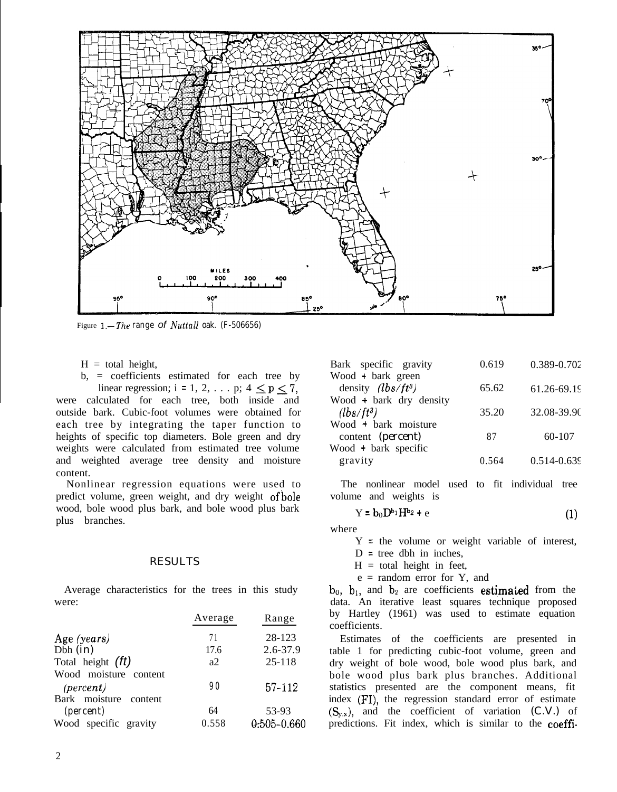

Figure *I.-The range of Nuttall oak. (F-506656)*

 $H =$  total height,

b, = coefficients estimated for each tree by linear regression; i = 1, 2, ... p;  $4 \le p \le 7$ , were calculated for each tree, both inside and outside bark. Cubic-foot volumes were obtained for each tree by integrating the taper function to heights of specific top diameters. Bole green and dry weights were calculated from estimated tree volume and weighted average tree density and moisture content.

Nonlinear regression equations were used to predict volume, green weight, and dry weight ofbole wood, bole wood plus bark, and bole wood plus bark plus branches.

#### RESULTS

Average characteristics for the trees in this study were:

|                                    | Average | Range           |
|------------------------------------|---------|-----------------|
| Age (years)                        | 71      | 28-123          |
| Dbh $(in)$                         | 17.6    | 2.6-37.9        |
| Total height (ft)                  | a2      | 25-118          |
| Wood moisture content<br>(percent) | 90      | $57 - 112$      |
| Bark moisture content<br>(percent) | 64      | 53-93           |
| Wood specific gravity              | 0.558   | $0.505 - 0.660$ |

| Bark specific gravity   | 0.619 | 0.389-0.702     |
|-------------------------|-------|-----------------|
| Wood + bark green       |       |                 |
| density $(lbs/ft^3)$    | 65.62 | $61.26 - 69.19$ |
| Wood + bark dry density |       |                 |
| $(lbs/ft^3)$            | 35.20 | 32.08-39.90     |
| Wood + bark moisture    |       |                 |
| content (percent)       | 87    | 60-107          |
| Wood + bark specific    |       |                 |
| gravity                 | 0.564 | $0.514 - 0.639$ |

The nonlinear model used to fit individual tree volume and weights is

$$
Y = b_0 D^{b_1} H^{b_2} + e \tag{1}
$$

where

Y = the volume or weight variable of interest,

- $D =$  tree dbh in inches,
- $H =$  total height in feet,

 $e$  = random error for Y, and

 $b_0$ ,  $b_1$ , and  $b_2$  are coefficients estimated from the data. An iterative least squares technique proposed by Hartley (1961) was used to estimate equation coefficients.

Estimates of the coefficients are presented in table 1 for predicting cubic-foot volume, green and dry weight of bole wood, bole wood plus bark, and bole wood plus bark plus branches. Additional statistics presented are the component means, fit index (FI), the regression standard error of estimate  $(S_{y.x})$ , and the coefficient of variation  $(C.V.)$  of predictions. Fit index, which is similar to the coeffi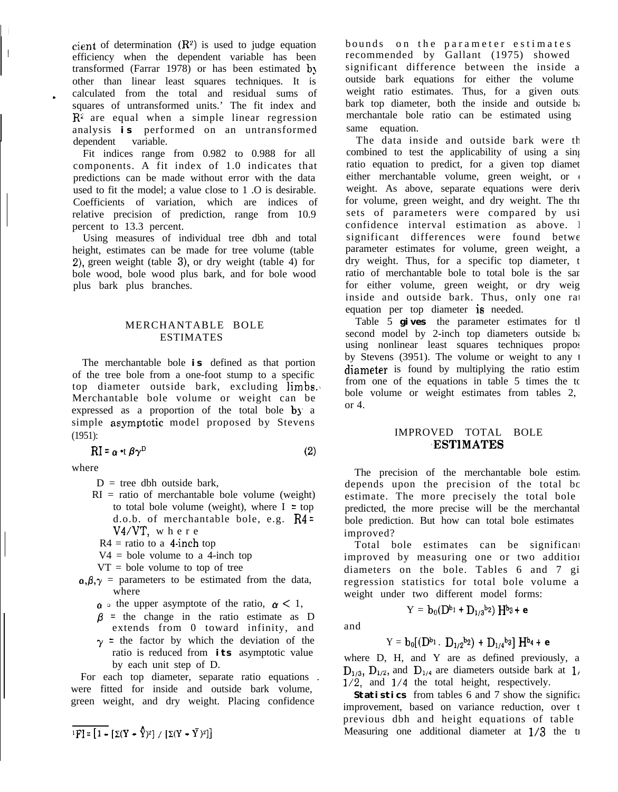cient of determination  $(R^2)$  is used to judge equation efficiency when the dependent variable has been transformed (Farrar 1978) or has been estimated by other than linear least squares techniques. It is calculated from the total and residual sums of squares of untransformed units.' The fit index and  $\overline{R}^2$  are equal when a simple linear regression analysis **is** performed on an untransformed dependent variable.

Fit indices range from 0.982 to 0.988 for all components. A fit index of 1.0 indicates that predictions can be made without error with the data used to fit the model; a value close to 1 .O is desirable. Coefficients of variation, which are indices of relative precision of prediction, range from 10.9 percent to 13.3 percent.

Using measures of individual tree dbh and total height, estimates can be made for tree volume (table 2), green weight (table 3), or dry weight (table 4) for bole wood, bole wood plus bark, and for bole wood plus bark plus branches.

#### MERCHANTABLE BOLE ESTIMATES

The merchantable bole **is** defined as that portion of the tree bole from a one-foot stump to a specific top diameter outside bark, excluding limbs. Merchantable bole volume or weight can be expressed as a proportion of the total bole by a simple asymptotic model proposed by Stevens (1951):

$$
RI = \alpha \bullet t \beta \gamma^D \tag{2}
$$

where

.

 $\mathord{\text{\rm l}}$ 

- $D =$  tree dbh outside bark.
- $RI = ratio of merchandise bole volume (weight)$ to total bole volume (weight), where  $I = top$ d.o.b. of merchantable bole, e.g.  $R4 =$ V4/VT, where
	- $R4$  = ratio to a 4-inch top
- $V4 =$  bole volume to a 4-inch top
- $VT = bole$  volume to top of tree
- $\alpha, \beta, \gamma$  = parameters to be estimated from the data, where
	- $\alpha$  is the upper asymptote of the ratio,  $\alpha < 1$ ,
	- $\beta$  = the change in the ratio estimate as D extends from 0 toward infinity, and
	- $\gamma$  = the factor by which the deviation of the ratio is reduced from **its** asymptotic value by each unit step of D.

For each top diameter, separate ratio equations . were fitted for inside and outside bark volume, green weight, and dry weight. Placing confidence

$$
\overline{{}^1{\rm{FI}}}=\overline{\left[\,1-\left[\,\Sigma(Y-\sqrt{Y})^2\right]\;/\;/\;\left[\,\Sigma(Y-\bar{Y}\,)^2\right]\,\right]}
$$

bounds on the parameter estimates recommended by  $Gal$  (1975) showed significant difference between the inside a outside bark equations for either the volume weight ratio estimates. Thus, for a given outside bark top diameter, both the inside and outside  $b_i$ merchantale bole ratio can be estimated using same equation.

The data inside and outside bark were the combined to test the applicability of using a singleratio equation to predict, for a given top diamet either merchantable volume, green weight, or weight. As above, separate equations were derived for volume, green weight, and dry weight. The thr sets of parameters were compared by usi confidence interval estimation as above. I significant differences were found betwe parameter estimates for volume, green weight, a dry weight. Thus, for a specific top diameter, the ratio of merchantable bole to total bole is the sar for either volume, green weight, or dry weig inside and outside bark. Thus, only one rat equation per top diameter is needed.

Table 5 **gives** the parameter estimates for the second model by 2-inch top diameters outside bar using nonlinear least squares techniques proposed by Stevens  $(3951)$ . The volume or weight to any 1 diameter is found by multiplying the ratio estimation from one of the equations in table  $5$  times the total bole volume or weight estimates from tables 2, or 4.

#### IMPROVED TOTAL BOLE .ESTIMATES

The precision of the merchantable bole estimates depends upon the precision of the total bo estimate. The more precisely the total bole predicted, the more precise will be the merchantal bole prediction. But how can total bole estimates improved?

Total bole estimates can be significant improved by measuring one or two addition diameters on the bole. Tables 6 and 7 gi regression statistics for total bole volume a weight under two different model forms:

and

$$
Y = b_0 [(D^{b_1} \cdot D_{1/2}{}^{b_2}) + D_{1/4}{}^{b_3}] H^{b_4} + \epsilon
$$

 $Y = b_0(D^{b_1} + D_{1/3}b_2)$   $H^{b_3} + e$ 

where  $D$ ,  $H$ , and  $Y$  are as defined previously, a  $D_{1/3}$ ,  $D_{1/2}$ , and  $D_{1/4}$  are diameters outside bark at 1,  $1/2$ , and  $1/4$  the total height, respectively.

**Statistics** from tables 6 and 7 show the significant improvement, based on variance reduction, over the previous dbh and height equations of table Measuring one additional diameter at  $1/3$  the tree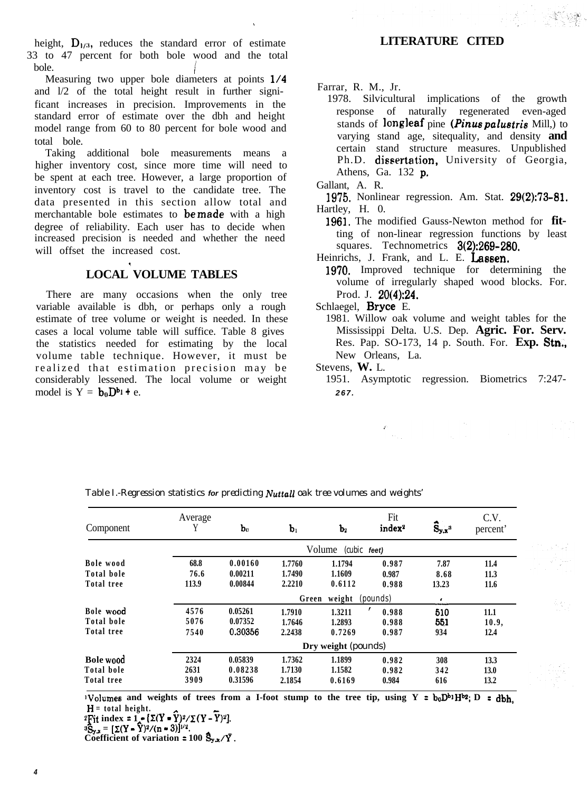height,  $D_{1/3}$ , reduces the standard error of estimate 33 to 47 percent for both bole wood and the total  $\bullet$  bole. bole.<br>Measuring two upper bole diameters at points  $1/4$ 

and l/2 of the total height result in further significant increases in precision. Improvements in the standard error of estimate over the dbh and height model range from 60 to 80 percent for bole wood and total bole.

Taking additional bole measurements means a higher inventory cost, since more time will need to be spent at each tree. However, a large proportion of inventory cost is travel to the candidate tree. The data presented in this section allow total and merchantable bole estimates to **be made** with a high degree of reliability. Each user has to decide when increased precision is needed and whether the need will offset the increased cost.

#### **LOCAL VOLUME TABLES**

( 1

There are many occasions when the only tree variable available is dbh, or perhaps only a rough estimate of tree volume or weight is needed. In these cases a local volume table will suffice. Table 8 gives the statistics needed for estimating by the local volume table technique. However, it must be realized that estimation precision may be considerably lessened. The local volume or weight model is  $Y = b_0D^{b_1} + e$ .

#### **LITERATURE CITED**

Farrar, R. M., Jr.

1978. Silvicultural implications of the growth response of naturally regenerated even-aged stands of longleaf pine (*Pinus palustris* Mill,) to varying stand age, sitequality, and density **and** certain stand structure measures. Unpublished Ph.D. dissertation, University of Georgia, Athens, Ga. 132 p,

- 1975. Nonlinear regression. Am. Stat. 29(2):73-81. Hartley, H. 0.
- 1961. The modified Gauss-Newton method for **fit**ting of non-linear regression functions by least squares. Technometrics 3(2):269-280.
- Heinrichs, J. Frank, and L. E. Lassen.
- 1970. Improved technique for determining the volume of irregularly shaped wood blocks. For. Prod. J. 20(4):24.
- Schlaegel, Bryce E.
- 1981. Willow oak volume and weight tables for the Mississippi Delta. U.S. Dep. **Agric. For. Serv.** Res. Pap. SO-173, 14 p. South. For. **Exp. Stn.,** New Orleans, La.
- Stevens, **W.** L.
	- 1951. Asymptotic regression. Biometrics 7:247- *267.*

| Component  | Average<br>Y | $\mathbf{b}_0$ | b <sub>1</sub> | $\mathbf{b}_2$         | Fit<br>index <sup>2</sup> | $\hat{S}_{y,x}$ <sup>3</sup> | C.V.<br>percent' |
|------------|--------------|----------------|----------------|------------------------|---------------------------|------------------------------|------------------|
|            |              |                |                | Volume<br>(cubic feet) |                           |                              |                  |
| Bole wood  | 68.8         | 0.00160        | 1.7760         | 1.1794                 | 0.987                     | 7.87                         | 11.4             |
| Total bole | 76.6         | 0.00211        | 1.7490         | 1.1609                 | 0.987                     | 8.68                         | 11.3             |
| Total tree | 113.9        | 0.00844        | 2.2210         | 0.6112                 | 0.988                     | 13.23                        | 11.6             |
|            |              |                | Green          | weight                 | (pounds)                  | $\cdot$                      |                  |
| Bole wood  | 4576         | 0.05261        | 1.7910         | 1.3211                 | 0.988                     | 510                          | 11.1             |
| Total bole | 5076         | 0.07352        | 1.7646         | 1.2893                 | 0.988                     | 551                          | 10.9,            |
| Total tree | 7540         | 0.30356        | 2.2438         | 0.7269                 | 0.987                     | 934                          | 12.4             |
|            |              |                |                | Dry weight (pounds)    |                           |                              |                  |
| Bole wood  | 2324         | 0.05839        | 1.7362         | 1.1899                 | 0.982                     | 308                          | 13.3             |
| Total bole | 2631         | 0.08238        | 1.7130         | 1.1582                 | 0.982                     | 342                          | 13.0             |
| Total tree | 3909         | 0.31596        | 2.1854         | 0.6169                 | 0.984                     | 616                          | 13.2             |

*Table I.-Regression statistics for predicting Nuttall oak tree volumes and weights'*

**IV**olumes and weights of trees from a I-foot stump to the tree tip, using  $Y = b_0D^{b_1}H^{b_2}$ ;  $D = d_0$ ,  $H =$  total height.

$$
{}^{2}\mathrm{Fit}\text{ index} = 1_{\mathcal{A}} \left[ \Sigma(Y - Y)^{2} / \Sigma(Y - Y)^{2} \right]
$$

 ${}^{3}\text{S}_{\text{v,x}} = [\Sigma(Y - \bar{Y})^{2}/(n-3)]^{1/2}.$ 

Coefficient of variation =  $100 \, \text{S}_{y.x} / \bar{Y}$ .

Gallant, A. R.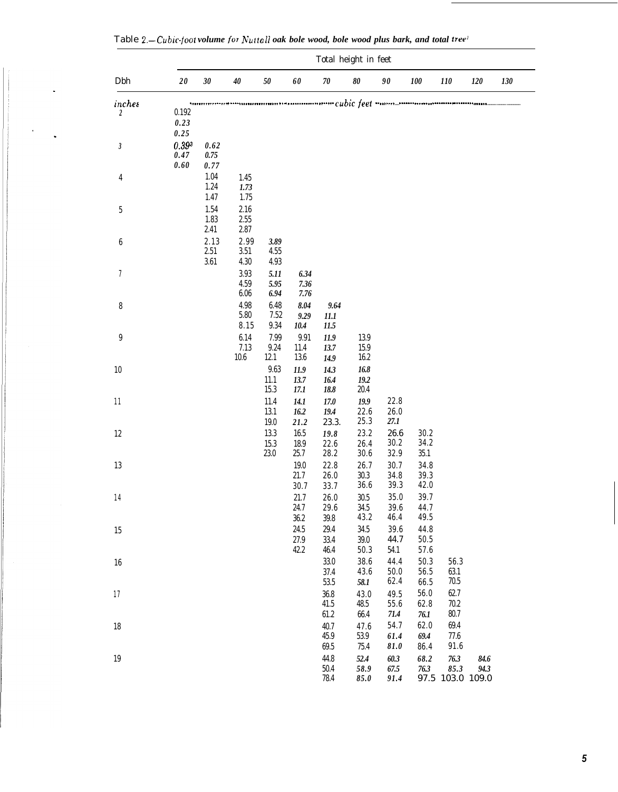|                  | Total height in feet       |                          |                      |                                     |                              |                                  |                              |                                                                         |                          |                                          |              |     |
|------------------|----------------------------|--------------------------|----------------------|-------------------------------------|------------------------------|----------------------------------|------------------------------|-------------------------------------------------------------------------|--------------------------|------------------------------------------|--------------|-----|
| Dbh              | $20\,$                     | $30\,$                   | $40\,$               | $50\,$                              | 60                           | ${\bf 70}$                       | 80                           | 90                                                                      | $100\,$                  | 110                                      | 120          | 130 |
| inches<br>2      | 0.192                      | ,,,,,,,,,,               |                      |                                     |                              |                                  |                              | waaraan resoo aan aan amaa cubic feet waan $\_$ mmaan aan aan aan aan a |                          |                                          |              |     |
|                  | 0.23<br>0.25               |                          |                      |                                     |                              |                                  |                              |                                                                         |                          |                                          |              |     |
| $\sqrt{3}$       | $0.39^{3}$<br>0.47<br>0.60 | 0.62<br>0.75<br>0.77     |                      |                                     |                              |                                  |                              |                                                                         |                          |                                          |              |     |
| $\overline{4}$   |                            | 1.04<br>1.24<br>1.47     | 1.45<br>1.73<br>1.75 |                                     |                              |                                  |                              |                                                                         |                          |                                          |              |     |
| $\bf 5$          |                            | 1.54<br>1.83<br>2.41     | 2.16<br>2.55<br>2.87 |                                     |                              |                                  |                              |                                                                         |                          |                                          |              |     |
| $\boldsymbol{6}$ |                            | 2.13<br>$2.51\,$<br>3.61 | 2.99<br>3.51<br>4.30 | 3.89<br>4.55<br>4.93                |                              |                                  |                              |                                                                         |                          |                                          |              |     |
| 7                |                            |                          | 3.93<br>4.59<br>6.06 | 5.11<br>5.95<br>6.94                | 6.34<br>7.36<br>7.76         |                                  |                              |                                                                         |                          |                                          |              |     |
| $\bf 8$          |                            |                          | 4.98<br>5.80<br>8.15 | 6.48<br>7.52<br>9.34                | 8.04<br>9.29<br>10.4         | 9.64<br>11.1<br>11.5             |                              |                                                                         |                          |                                          |              |     |
| $\boldsymbol{9}$ |                            |                          | 6.14<br>7.13<br>10.6 | 7.99<br>$\boldsymbol{9.24}$<br>12.1 | 9.91<br>11.4<br>13.6         | 11.9<br>13.7<br>14.9             | 13.9<br>15.9<br>16.2         |                                                                         |                          |                                          |              |     |
| 10               |                            |                          |                      | 9.63<br>11.1<br>15.3                | 11.9<br>13.7<br>17.1         | 14.3<br>16.4<br>18.8             | 16.8<br>19.2<br>20.4         |                                                                         |                          |                                          |              |     |
| 11               |                            |                          |                      | 11.4<br>13.1<br>19.0                | 14.1<br>16.2<br>21.2         | 17.0<br>19.4<br>23.3.            | 19.9<br>22.6<br>25.3         | 22.8<br>26.0<br>27.1                                                    |                          |                                          |              |     |
| 12               |                            |                          |                      | 13.3<br>15.3<br>$23.0\,$            | 16.5<br>18.9<br>25.7         | 19.8<br>22.6<br>28.2             | 23.2<br>26.4<br>30.6         | 26.6<br>30.2<br>32.9                                                    | 30.2<br>34.2<br>35.1     |                                          |              |     |
| 13               |                            |                          |                      |                                     | 19.0<br>21.7                 | 22.8<br>26.0                     | 26.7<br>30.3                 | 30.7<br>34.8                                                            | 34.8<br>39.3             |                                          |              |     |
| $14\,$           |                            |                          |                      |                                     | 30.7<br>$21.7\,$<br>24.7     | 33.7<br>$26.0\,$<br>29.6         | 36.6<br>$30.5\,$<br>34.5     | 39.3<br>$35.0\,$<br>39.6                                                | 42.0<br>39.7<br>44.7     |                                          |              |     |
| 15               |                            |                          |                      |                                     | $36.2\,$<br>24.5<br>$27.9\,$ | $39.8\,$<br>29.4<br>33.4         | 43.2<br>34.5<br>$39.0\,$     | 46.4<br>39.6<br>44.7                                                    | 49.5<br>44.8<br>50.5     |                                          |              |     |
| 16               |                            |                          |                      |                                     | 42.2                         | 46.4<br>$33.0\,$<br>37.4         | 50.3<br>38.6<br>43.6         | 54.1<br>44.4<br>$50.0\,$                                                | 57.6<br>50.3<br>56.5     | 56.3<br>63.1                             |              |     |
| 17               |                            |                          |                      |                                     |                              | $53.5\,$<br>$36.8\,$<br>41.5     | 58.1<br>43.0<br>48.5         | 62.4<br>49.5<br>55.6                                                    | 66.5<br>$56.0\,$<br>62.8 | 70.5<br>62.7<br>70.2                     |              |     |
| 18               |                            |                          |                      |                                     |                              | 61.2<br>40.7<br>45.9             | 66.4<br>47.6<br>$53.9\,$     | 71.4<br>54.7<br>61.4                                                    | $76.1\,$<br>62.0<br>69.4 | 80.7<br>69.4<br>77.6                     |              |     |
| 19               |                            |                          |                      |                                     |                              | 69.5<br>44.8<br>$50.4\,$<br>78.4 | 75.4<br>52.4<br>58.9<br>85.0 | 81.0<br>60.3<br>67.5<br>91.4                                            | 86.4<br>68.2<br>76.3     | 91.6<br>76.3<br>85.3<br>97.5 103.0 109.0 | 84.6<br>94.3 |     |

Table *Z.-Cubic-loot volume joor Nuttoll oak bole wood, bole wood plus bark, and total tree'*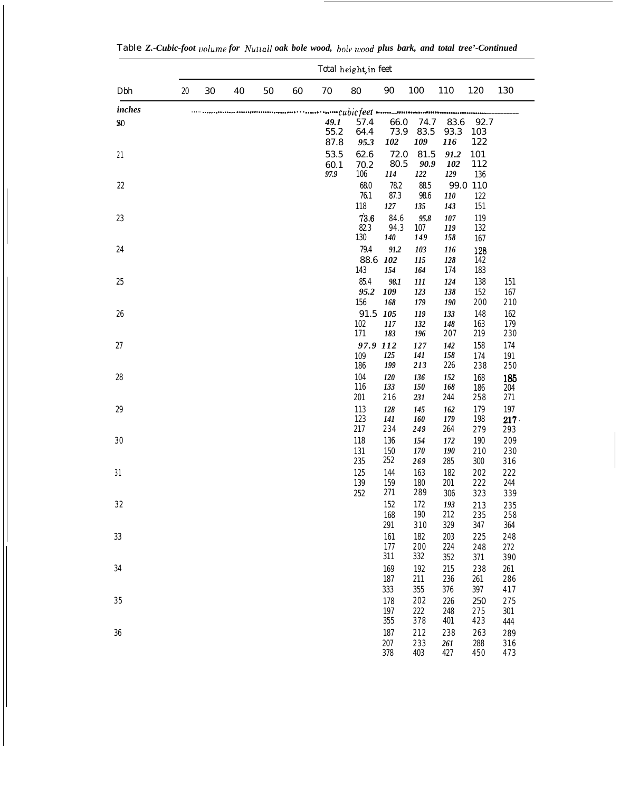|          | Total height, in feet |        |    |            |    |                      |                         |                              |                          |                          |                          |                          |
|----------|-----------------------|--------|----|------------|----|----------------------|-------------------------|------------------------------|--------------------------|--------------------------|--------------------------|--------------------------|
| Dbh      | $20\,$                | $30\,$ | 40 | ${\bf 50}$ | 60 | $70\,$               | 80                      | $90\,$                       | 100                      | 110                      | 120                      | 130                      |
| inches   |                       |        |    |            |    |                      |                         |                              |                          |                          |                          |                          |
| $20\,$   |                       |        |    |            |    | 49.1<br>55.2<br>87.8 | 57.4<br>64.4<br>95.3    | 66.0<br>73.9<br>102          | 74.7<br>83.5<br>109      | 83.6<br>93.3<br>116      | 92.7<br>103<br>122       |                          |
| $2\,1$   |                       |        |    |            |    | 53.5<br>60.1<br>97.9 | 62.6<br>70.2<br>106     | 72.0<br>80.5<br>114          | 81.5<br>90.9<br>122      | 91.2<br>102<br>129       | 101<br>112<br>136        |                          |
| $22\,$   |                       |        |    |            |    |                      | 68.0<br>76.1<br>118     | 78.2<br>87.3<br>127          | 88.5<br>98.6<br>135      | <i>110</i><br>143        | 99.0 110<br>122<br>151   |                          |
| $23\,$   |                       |        |    |            |    |                      | 73.6<br>82.3<br>130     | 84.6<br>94.3<br>140          | 95.8<br>107<br>149       | 107<br>119<br>158        | 119<br>132<br>167        |                          |
| $\rm 24$ |                       |        |    |            |    |                      | 79.4<br>88.6 102<br>143 | 91.2<br>154                  | 103<br>115<br>164        | 116<br>128<br>174        | 128<br>142<br>183        |                          |
| $25\,$   |                       |        |    |            |    |                      | 85.4<br>95.2<br>156     | 98.1<br>109<br>168           | 111<br>123<br>179        | 124<br>138<br>190        | 138<br>152<br>200        | 151<br>167<br>210        |
| $26\,$   |                       |        |    |            |    |                      | 91.5 105<br>102<br>171  | 117<br>183                   | 119<br>132<br>196        | 133<br>148<br>207        | 148<br>163<br>219        | 162<br>179<br>230        |
| $27\,$   |                       |        |    |            |    |                      | 97.9 112<br>109<br>186  | 125<br>199                   | 127<br>141<br>213        | 142<br>158<br>226        | 158<br>174<br>238        | 174<br>191<br>250        |
| 28       |                       |        |    |            |    |                      | 104<br>116<br>201       | 120<br>133<br>216            | 136<br><i>150</i><br>231 | 152<br>168<br>244        | 168<br>186<br>258        | 185<br>204<br>271        |
| $\rm 29$ |                       |        |    |            |    |                      | 113<br>123<br>217       | 128<br>141<br>234            | 145<br>160<br>249        | 162<br>179<br>264        | 179<br>198<br>279        | 197<br>$217 -$<br>293    |
| $30\,$   |                       |        |    |            |    |                      | 118<br>131<br>235       | 136<br>150<br>252            | 154<br>170<br>269        | 172<br>190<br>285        | 190<br>210<br>300        | 209<br>230<br>316        |
| 31       |                       |        |    |            |    |                      | 125<br>139<br>252       | 144<br>159<br>271            | 163<br>180<br>289        | 182<br>201<br>306        | 202<br>222<br>323        | 222<br>244<br>339        |
| $3\,2$   |                       |        |    |            |    |                      |                         | 152<br>168                   | 172<br>190               | 193<br>212<br>329        | 213<br>235               | 235<br>258               |
| 33       |                       |        |    |            |    |                      |                         | 291<br>161<br>177            | 310<br>182<br>200        | 203<br>224               | 347<br>225<br>248        | 364<br>248<br>272        |
| 34       |                       |        |    |            |    |                      |                         | 311<br>169<br>187            | 332<br>192<br>211        | 352<br>215<br>236        | 371<br>238<br>261        | 390<br>261<br>$2\,8\,6$  |
| $3\,5$   |                       |        |    |            |    |                      |                         | 333<br>178<br>197            | 355<br>202<br>$222\,$    | 376<br>226<br>248        | 397<br>250<br>275        | 417<br>275<br>301        |
| 36       |                       |        |    |            |    |                      |                         | $355\,$<br>187<br>207<br>378 | 378<br>212<br>233<br>403 | 401<br>238<br>261<br>427 | 423<br>263<br>288<br>450 | 444<br>289<br>316<br>473 |

H

Table *Z.-Cubic-foot volume for Nuttall oak bole wood, bole wood plus bark, and total tree'-Continued*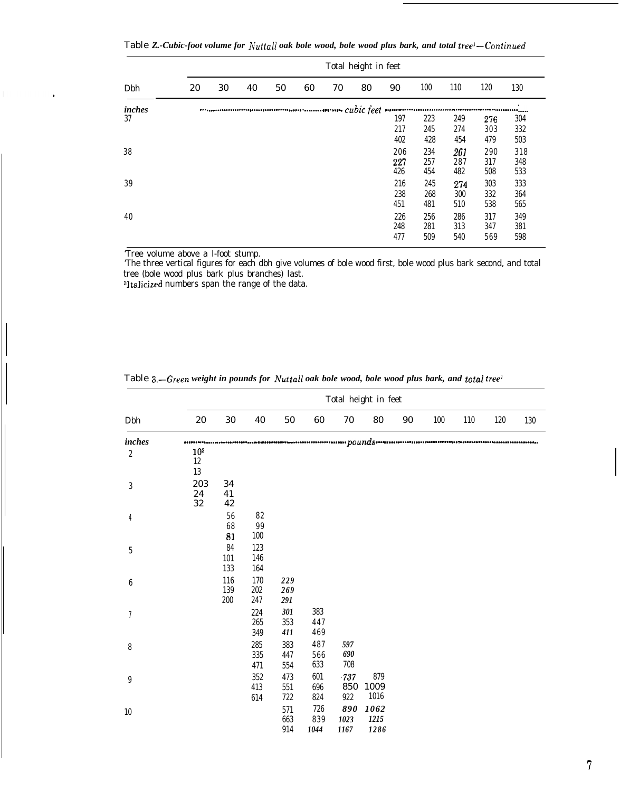Table *Z.-Cubic-foot volume for h'uttall oak bole wood, bole wood plus bark, and total tree'-Coniinued*

|              |    | Total height in feet |    |    |    |    |    |                                 |                                 |                                 |                                 |                                 |
|--------------|----|----------------------|----|----|----|----|----|---------------------------------|---------------------------------|---------------------------------|---------------------------------|---------------------------------|
| Dbh          | 20 | 30                   | 40 | 50 | 60 | 70 | 80 | 90                              | 100                             | 110                             | 120                             | 130                             |
| inches<br>37 |    |                      |    |    |    |    |    | 197<br>217<br>402               | 223<br>245<br>428               | 249<br>274<br>454               | 276<br>303<br>479               | $\bullet$<br>304<br>332<br>503  |
| 38<br>39     |    |                      |    |    |    |    |    | 206<br>227<br>426<br>216<br>238 | 234<br>257<br>454<br>245<br>268 | 261<br>287<br>482<br>274<br>300 | 290<br>317<br>508<br>303<br>332 | 318<br>348<br>533<br>333<br>364 |
| 40           |    |                      |    |    |    |    |    | 451<br>226<br>248<br>477        | 481<br>256<br>281<br>509        | 510<br>286<br>313<br>540        | 538<br>317<br>347<br>569        | 565<br>349<br>381<br>598        |

'Tree volume above a l-foot stump.

 $\mathbb T$ 

'The three vertical figures for each dbh give volumes of bole wood first, bole wood plus bark second, and total tree (bole wood plus bark plus branches) last.

sltalicized numbers span the range of the data.

|                  |                                 |                        |                          |                       |                         |                     | Total height in feet |    |     |     |     |     |
|------------------|---------------------------------|------------------------|--------------------------|-----------------------|-------------------------|---------------------|----------------------|----|-----|-----|-----|-----|
| Dbh              | 20                              | 30                     | 40                       | 50                    | 60                      | 70                  | 80                   | 90 | 100 | 110 | 120 | 130 |
| inches           |                                 |                        |                          |                       |                         |                     |                      |    |     |     |     |     |
| $\sqrt{2}$       | 10 <sup>2</sup><br>$12\,$<br>13 |                        |                          |                       |                         |                     |                      |    |     |     |     |     |
| $\sqrt{3}$       | 203<br>24<br>$32\,$             | 34<br>41<br>42         |                          |                       |                         |                     |                      |    |     |     |     |     |
| $\boldsymbol{4}$ |                                 | ${\bf 56}$<br>68<br>81 | 82<br>$9\sqrt{9}$<br>100 |                       |                         |                     |                      |    |     |     |     |     |
| $\bf 5$          |                                 | 84<br>101<br>133       | 123<br>146<br>164        |                       |                         |                     |                      |    |     |     |     |     |
| $\boldsymbol{6}$ |                                 | 116<br>139<br>$200\,$  | 170<br>202<br>247        | 229<br>269<br>291     |                         |                     |                      |    |     |     |     |     |
| $\,7$            |                                 |                        | 224<br>265<br>349        | 301<br>$353\,$<br>411 | 383<br>447<br>469       |                     |                      |    |     |     |     |     |
| $\bf 8$          |                                 |                        | 285<br>$335\,$<br>471    | 383<br>447<br>554     | 487<br>$5\,6\,6$<br>633 | 597<br>690<br>708   |                      |    |     |     |     |     |
| 9                |                                 |                        | 352<br>413<br>614        | 473<br>551<br>722     | 601<br>696<br>824       | -737<br>850<br>922  | 879<br>1009<br>1016  |    |     |     |     |     |
| $10\,$           |                                 |                        |                          | 571<br>663<br>914     | 726<br>839<br>1044      | 890<br>1023<br>1167 | 1062<br>1215<br>1286 |    |     |     |     |     |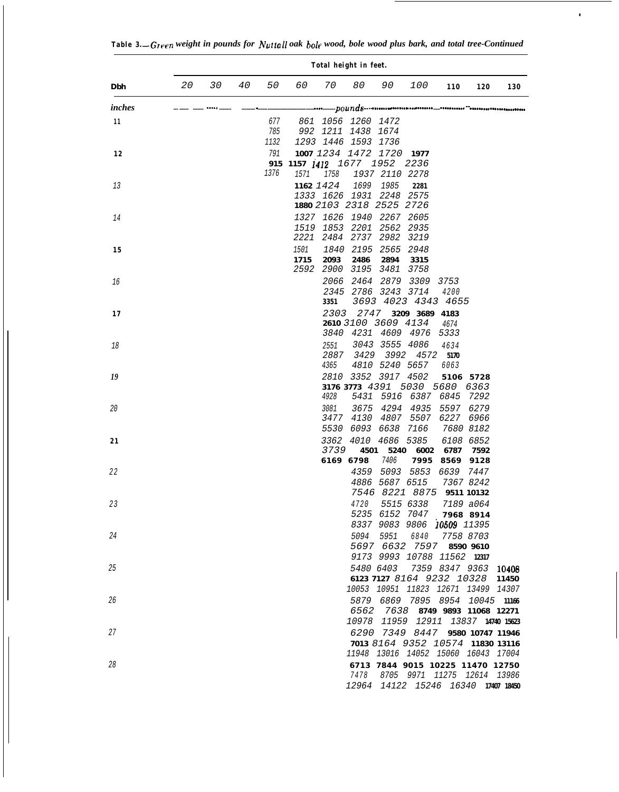|        | Total height in feet. |    |    |                    |                                      |                           |                                                                 |                                            |                                                                                     |                      |                                                                                                             |     |
|--------|-----------------------|----|----|--------------------|--------------------------------------|---------------------------|-----------------------------------------------------------------|--------------------------------------------|-------------------------------------------------------------------------------------|----------------------|-------------------------------------------------------------------------------------------------------------|-----|
| Dbh    | 20                    | 30 | 40 | 50                 | 60                                   | 70                        | 80                                                              | 90                                         | 100                                                                                 | 110                  | 120                                                                                                         | 130 |
| inches |                       |    |    |                    |                                      |                           |                                                                 |                                            |                                                                                     |                      |                                                                                                             |     |
| 11     |                       |    |    | 677<br>785<br>1132 |                                      |                           | 861 1056 1260 1472<br>992 1211 1438 1674<br>1293 1446 1593 1736 |                                            |                                                                                     |                      |                                                                                                             |     |
| 12     |                       |    |    | 791<br>1376        | 915 1157 1412 1677 1952 2236<br>1571 | 1758                      |                                                                 | 1007 1234 1472 1720 1977<br>1937 2110 2278 |                                                                                     |                      |                                                                                                             |     |
| 13     |                       |    |    |                    |                                      | 1162 1424                 | 1699<br>1333 1626 1931 2248                                     | 1985<br>1880 2103 2318 2525 2726           | 2281<br>2575                                                                        |                      |                                                                                                             |     |
| 14     |                       |    |    |                    |                                      |                           | 1327 1626 1940 2267                                             | 1519 1853 2201 2562<br>2221 2484 2737 2982 | 2605<br>2935<br>3219                                                                |                      |                                                                                                             |     |
| 15     |                       |    |    |                    | 1501<br>1715                         | 2093                      | 1840 2195 2565<br>2486                                          | 2894<br>2592 2900 3195 3481                | 2948<br>3315<br>3758                                                                |                      |                                                                                                             |     |
| 16     |                       |    |    |                    |                                      | 3351                      |                                                                 | 2066 2464 2879<br>2345 2786 3243 3714      | 3309<br>3693 4023 4343 4655                                                         | 3753<br>4200         |                                                                                                             |     |
| 17     |                       |    |    |                    |                                      | 2303                      | 2747                                                            | 2610 3100 3609 4134                        | 3209 3689 4183<br>3840 4231 4609 4976                                               | 4674<br>5333         |                                                                                                             |     |
| 18     |                       |    |    |                    |                                      | 2551<br>2887<br>4365      | 3429                                                            | 3043 3555 4086<br>3992<br>4810 5240 5657   | 4572                                                                                | 4634<br>5170<br>6063 |                                                                                                             |     |
| 19     |                       |    |    |                    |                                      | 4928                      |                                                                 | 2810 3352 3917 4502                        | 3176 3773 4391 5030 5680<br>5431 5916 6387 6845                                     |                      | 5106 5728<br>6363<br>7292                                                                                   |     |
| 20     |                       |    |    |                    |                                      | 3081<br>3477<br>5530      |                                                                 | 6093 6638 7166                             | 3675 4294 4935<br>4130 4807 5507                                                    | 6227 6966            | 5597 6279<br>7680 8182                                                                                      |     |
| 21     |                       |    |    |                    |                                      | 3362<br>3739<br>6169 6798 | 4010<br>4501                                                    | 4686 5385<br>5240<br>7406                  | 6002<br>7995                                                                        | 6787<br>8569         | 6108 6852<br>7592<br>9128                                                                                   |     |
| 22     |                       |    |    |                    |                                      |                           |                                                                 | 4886 5687 6515                             | 4359 5093 5853<br>7546 8221 8875 9511 10132                                         | 6639                 | 7447<br>7367 8242                                                                                           |     |
| 23     |                       |    |    |                    |                                      |                           |                                                                 |                                            | 4720 5515 6338<br>5235 6152 7047 7968 8914<br>8337 9083 9806 10509 11395            |                      | 7189 a064                                                                                                   |     |
| 24     |                       |    |    |                    |                                      |                           |                                                                 |                                            | 5094 5951 6840 7758 8703<br>5697 6632 7597 8590 9610<br>9173 9993 10788 11562 12317 |                      |                                                                                                             |     |
| 25     |                       |    |    |                    |                                      |                           |                                                                 |                                            |                                                                                     |                      | 5480 6403 7359 8347 9363 10408<br>6123 7127 8164 9232 10328 11450<br>10053 10951 11823 12671 13499 14307    |     |
| 26     |                       |    |    |                    |                                      |                           |                                                                 |                                            |                                                                                     |                      | 5879 6869 7895 8954 10045 11166<br>6562 7638 8749 9893 11068 12271<br>10978 11959 12911 13837 14740 15623   |     |
| 27     |                       |    |    |                    |                                      |                           |                                                                 |                                            |                                                                                     |                      | 6290 7349 8447 9580 10747 11946<br>7013 8164 9352 10574 11830 13116<br>11948 13016 14052 15060 16043 17004  |     |
| 28     |                       |    |    |                    |                                      |                           |                                                                 |                                            |                                                                                     |                      | 6713 7844 9015 10225 11470 12750<br>7478 8705 9971 11275 12614 13986<br>12964 14122 15246 16340 17407 18450 |     |

 $\overline{\phantom{a}}$ 

 $\ddot{\phantom{a}}$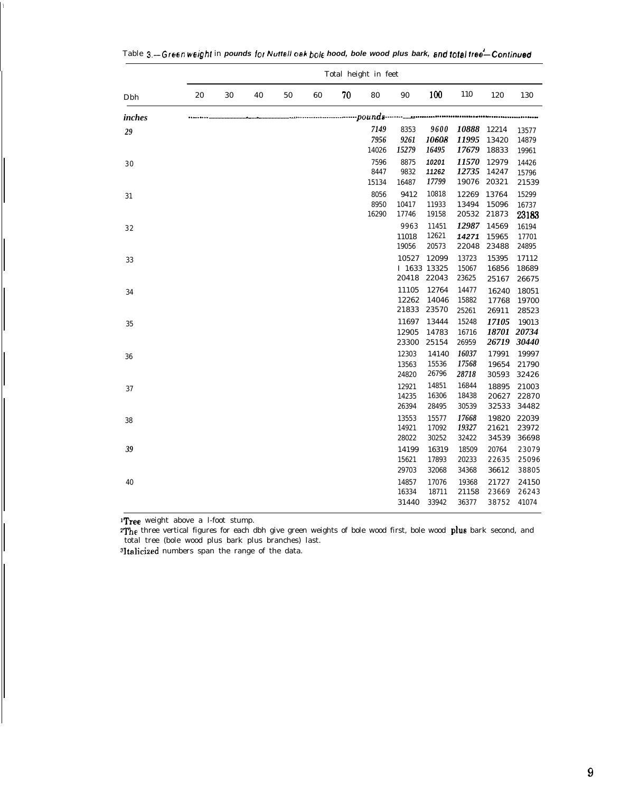|        | Total height in feet |    |    |    |    |    |                                                     |                                |                         |                         |                         |                               |
|--------|----------------------|----|----|----|----|----|-----------------------------------------------------|--------------------------------|-------------------------|-------------------------|-------------------------|-------------------------------|
| Dbh    | 20                   | 30 | 40 | 50 | 60 | 70 | 80                                                  | 90                             | 100                     | 110                     | 120                     | 130                           |
| inches |                      |    |    |    |    |    | ------------------pounds-------- <sub>-----</sub> - |                                |                         |                         |                         |                               |
| 29     |                      |    |    |    |    |    | 7149<br>7956<br>14026                               | 8353<br>9261<br>15279          | 9600<br>10608<br>16495  | 10888<br>11995<br>17679 | 12214<br>13420<br>18833 | 13577<br>14879<br>19961       |
| 30     |                      |    |    |    |    |    | 7596<br>8447                                        | 8875<br>9832                   | 10201<br>11262<br>17799 | 11570<br>12735<br>19076 | 12979<br>14247<br>20321 | 14426<br>15796<br>21539       |
| 31     |                      |    |    |    |    |    | 15134<br>8056<br>8950                               | 16487<br>9412<br>10417         | 10818<br>11933          | 12269<br>13494          | 13764<br>15096          | 15299<br>16737                |
| 32     |                      |    |    |    |    |    | 16290                                               | 17746<br>9963<br>11018         | 19158<br>11451<br>12621 | 20532<br>12987<br>14271 | 21873<br>14569<br>15965 | 23183<br>16194<br>17701       |
| 33     |                      |    |    |    |    |    |                                                     | 19056<br>10527<br>I 1633 13325 | 20573<br>12099          | 22048<br>13723<br>15067 | 23488<br>15395<br>16856 | 24895<br>17112<br>18689       |
| 34     |                      |    |    |    |    |    |                                                     | 20418 22043<br>11105<br>12262  | 12764<br>14046          | 23625<br>14477<br>15882 | 25167<br>16240<br>17768 | 26675<br>18051<br>19700       |
| 35     |                      |    |    |    |    |    |                                                     | 21833<br>11697<br>12905        | 23570<br>13444<br>14783 | 25261<br>15248<br>16716 | 26911<br>17105          | 28523<br>19013<br>18701 20734 |
| 36     |                      |    |    |    |    |    |                                                     | 23300<br>12303<br>13563        | 25154<br>14140<br>15536 | 26959<br>16037<br>17568 | 26719<br>17991<br>19654 | 30440<br>19997<br>21790       |
| 37     |                      |    |    |    |    |    |                                                     | 24820<br>12921<br>14235        | 26796<br>14851<br>16306 | 28718<br>16844<br>18438 | 30593<br>18895<br>20627 | 32426<br>21003<br>22870       |
| 38     |                      |    |    |    |    |    |                                                     | 26394<br>13553<br>14921        | 28495<br>15577<br>17092 | 30539<br>17668<br>19327 | 32533<br>19820<br>21621 | 34482<br>22039<br>23972       |
| 39     |                      |    |    |    |    |    |                                                     | 28022<br>14199<br>15621        | 30252<br>16319<br>17893 | 32422<br>18509<br>20233 | 34539<br>20764<br>22635 | 36698<br>23079<br>25096       |
| 40     |                      |    |    |    |    |    |                                                     | 29703<br>14857<br>16334        | 32068<br>17076<br>18711 | 34368<br>19368<br>21158 | 36612<br>21727<br>23669 | 38805<br>24150<br>26243       |
|        |                      |    |    |    |    |    |                                                     | 31440                          | 33942                   | 36377                   | 38752                   | 41074                         |

|  |  | Table 3.—Green weight in pounds for Nuttell oak bole hood, bole wood plus bark, and total tree—Continued |
|--|--|----------------------------------------------------------------------------------------------------------|

<sup>1</sup>Tree weight above a l-foot stump.

<sup>2</sup>The three vertical figures for each dbh give green weights of bole wood first, bole wood **plus** bark second, and total tree (bole wood plus bark plus branches) last.

<sup>3</sup>Italicized numbers span the range of the data.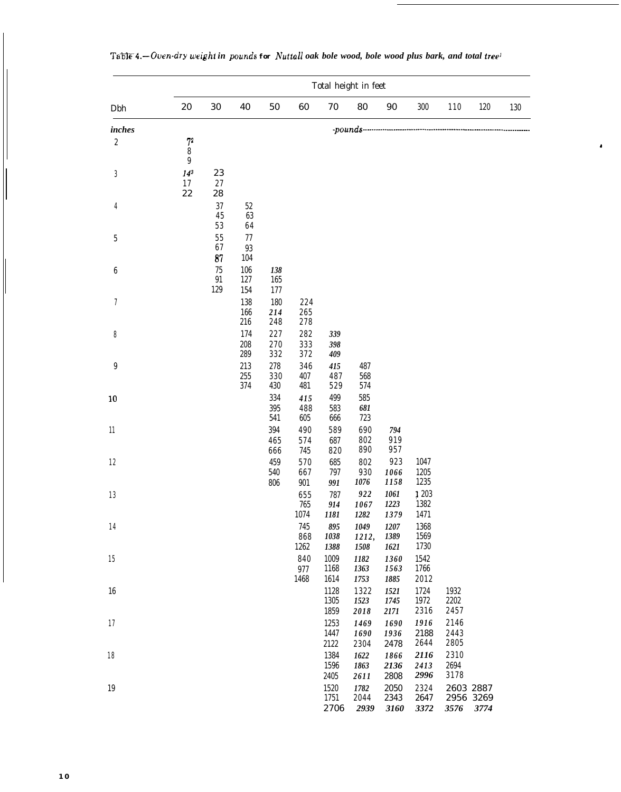|                           | Total height in feet                   |                    |                     |                   |                         |                                     |                           |                      |                       |                                |         |     |
|---------------------------|----------------------------------------|--------------------|---------------------|-------------------|-------------------------|-------------------------------------|---------------------------|----------------------|-----------------------|--------------------------------|---------|-----|
| Dbh                       | $20\,$                                 | $30\,$             | 40                  | $50\,$            | 60                      | $70\,$                              | 80                        | $90\,$               | $300\,$               | 110                            | $120\,$ | 130 |
| inches                    |                                        |                    |                     |                   |                         |                                     |                           |                      |                       |                                |         |     |
| $\sqrt{2}$                | $\sqrt{7}$<br>8<br>9                   |                    |                     |                   |                         |                                     |                           |                      |                       |                                |         |     |
| $\boldsymbol{\mathrm{3}}$ | 14 <sup>3</sup><br>$17$<br>$2\sqrt{2}$ | 23<br>$2\,7$<br>28 |                     |                   |                         |                                     |                           |                      |                       |                                |         |     |
| 4                         |                                        | 37<br>45<br>$5\,3$ | $52\,$<br>63<br>64  |                   |                         |                                     |                           |                      |                       |                                |         |     |
| $\bf 5$                   |                                        | $5\,5$<br>67<br>87 | $77\,$<br>93<br>104 |                   |                         |                                     |                           |                      |                       |                                |         |     |
| 6                         |                                        | 75<br>91<br>129    | 106<br>127<br>154   | 138<br>165<br>177 |                         |                                     |                           |                      |                       |                                |         |     |
| 7                         |                                        |                    | 138<br>166<br>216   | 180<br>214<br>248 | 224<br>$2\,6\,5$<br>278 |                                     |                           |                      |                       |                                |         |     |
| 8                         |                                        |                    | 174<br>208<br>289   | 227<br>270<br>332 | $2\,8\,2$<br>333<br>372 | 339<br>398<br>409                   |                           |                      |                       |                                |         |     |
| 9                         |                                        |                    | 213<br>255<br>374   | 278<br>330<br>430 | 346<br>407<br>481       | 415<br>487<br>529                   | 487<br>568<br>574         |                      |                       |                                |         |     |
| 10                        |                                        |                    |                     | 334<br>395<br>541 | 415<br>488<br>605       | 499<br>583<br>666                   | 585<br>681<br>723         |                      |                       |                                |         |     |
| 11                        |                                        |                    |                     | 394<br>465<br>666 | 490<br>574<br>745       | 589<br>687<br>820                   | 690<br>802<br>890         | 794<br>919<br>957    |                       |                                |         |     |
| 12                        |                                        |                    |                     | 459<br>540<br>806 | 570<br>667<br>901       | 685<br>797<br>991                   | 802<br>930<br>1076        | 923<br>1066<br>1158  | 1047<br>1205<br>1235  |                                |         |     |
| 13                        |                                        |                    |                     |                   | 655<br>765<br>1074      | 787<br>914<br>1181                  | 922<br>1067<br>1282       | 1061<br>1223<br>1379 | 1 203<br>1382<br>1471 |                                |         |     |
| 14                        |                                        |                    |                     |                   | 745<br>868<br>1262      | 895<br>1038<br>1388                 | $1049\,$<br>1212,<br>1508 | 1207<br>1389<br>1621 | 1368<br>1569<br>1730  |                                |         |     |
| 15                        |                                        |                    |                     |                   | 840<br>977<br>1468      | 1009<br>1168<br>1614                | 1182<br>1363<br>1753      | 1360<br>1563<br>1885 | 1542<br>1766<br>2012  |                                |         |     |
| 16                        |                                        |                    |                     |                   |                         | 1128<br>1305<br>1859                | 1322<br>1523<br>2018      | 1521<br>1745<br>2171 | 1724<br>1972<br>2316  | 1932<br>2202<br>2457           |         |     |
| 17                        |                                        |                    |                     |                   |                         | 1253<br>1447<br>2122                | 1469<br>1690<br>2304      | 1690<br>1936<br>2478 | 1916<br>2188<br>2644  | 2146<br>2443<br>2805           |         |     |
| 18                        |                                        |                    |                     |                   |                         | 1384<br>1596<br>$\boldsymbol{2405}$ | 1622<br>1863<br>2611      | 1866<br>2136<br>2808 | 2116<br>2413<br>2996  | 2310<br>2694<br>3178           |         |     |
| 19                        |                                        |                    |                     |                   |                         | 1520<br>1751<br>2706                | 1782<br>2044<br>2939      | 2050<br>2343<br>3160 | 2324<br>2647<br>3372  | 2603 2887<br>2956 3269<br>3576 | 3774    |     |

*Ta%mIP-4.-&en-dry weighi in pourrds for Nuttall oak bole wood, bole wood plus bark, and total tree'*

.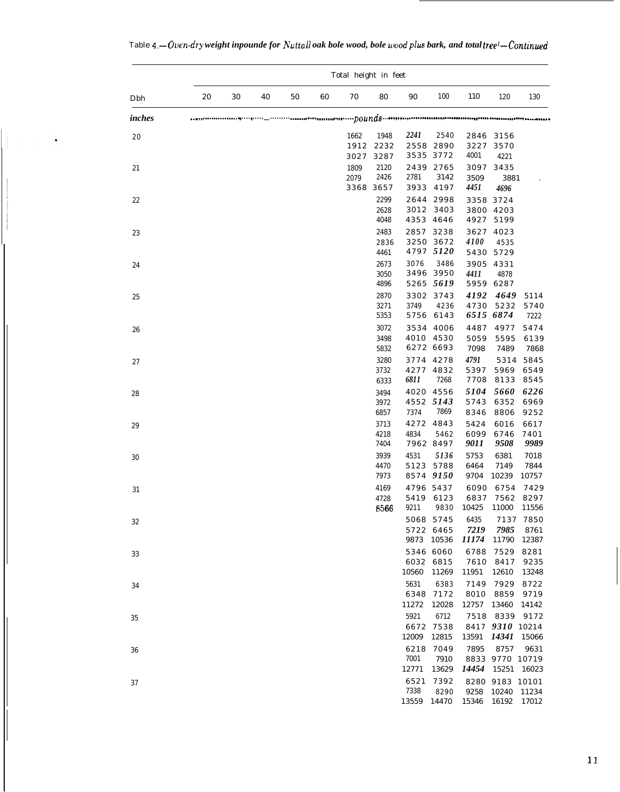|        | Total height in feet |    |    |    |    |                      |                      |                       |                                 |                       |                                  |                       |
|--------|----------------------|----|----|----|----|----------------------|----------------------|-----------------------|---------------------------------|-----------------------|----------------------------------|-----------------------|
| Dbh    | 20                   | 30 | 40 | 50 | 60 | 70                   | 80                   | 90                    | 100                             | 110                   | 120                              | 130                   |
| inches |                      |    |    |    |    |                      |                      |                       |                                 |                       |                                  |                       |
| $2\,0$ |                      |    |    |    |    | 1662<br>1912<br>3027 | 1948<br>2232<br>3287 | 2241                  | 2540<br>2558 2890<br>3535 3772  | 2846<br>3227<br>4001  | 3156<br>3570<br>4221             |                       |
| 21     |                      |    |    |    |    | 1809<br>2079<br>3368 | 2120<br>2426<br>3657 | 2781<br>3933          | 2439 2765<br>3142<br>4197       | 3097<br>3509<br>4451  | 3435<br>3881<br>4696             |                       |
| 22     |                      |    |    |    |    |                      | 2299<br>2628<br>4048 | $3\,0\,1\,2$          | 2644 2998<br>3403<br>4353 4646  | 3358<br>3800          | 3724<br>4203<br>4927 5199        |                       |
| 23     |                      |    |    |    |    |                      | 2483<br>2836<br>4461 | 2857                  | 3238<br>3250 3672<br>4797 5120  | 3627<br>4100<br>5430  | 4023<br>4535<br>5729             |                       |
| 24     |                      |    |    |    |    |                      | 2673<br>3050<br>4896 | 3076                  | 3486<br>3496 3950<br>5265 5619  | 3905<br>4411<br>5959  | 4331<br>4878<br>6287             |                       |
| 25     |                      |    |    |    |    |                      | 2870<br>3271<br>5353 | 3749                  | 3302 3743<br>4236<br>5756 6143  | 4192<br>4730          | 4649<br>5232<br>6515 6874        | 5114<br>5740<br>7222  |
| 26     |                      |    |    |    |    |                      | 3072<br>3498<br>5832 | 3534<br>4010          | 4006<br>4530<br>6272 6693       | 4487<br>5059<br>7098  | 4977<br>5595<br>7489             | 5474<br>6139<br>7868  |
| 27     |                      |    |    |    |    |                      | 3280<br>3732<br>6333 | 3774<br>4277<br>6811  | 4278<br>4832<br>7268            | 4791<br>5397<br>7708  | 5314<br>5969<br>8133             | 5845<br>6549<br>8545  |
| 28     |                      |    |    |    |    |                      | 3494<br>3972<br>6857 | 4020<br>7374          | 4556<br>4552 5143<br>7869       | 5104<br>5743<br>8346  | 5660<br>6352<br>8806             | 6226<br>6969<br>9252  |
| 29     |                      |    |    |    |    |                      | 3713<br>4218<br>7404 | 4272<br>4834          | 4843<br>5462<br>7962 8497       | 5424<br>6099<br>9011  | 6016<br>6746<br>9508             | 6617<br>7401<br>9989  |
| 30     |                      |    |    |    |    |                      | 3939<br>4470<br>7973 | 4531<br>5123          | 5136<br>5788<br>8574 9150       | 5753<br>6464<br>9704  | 6381<br>7149<br>10239            | 7018<br>7844<br>10757 |
| 31     |                      |    |    |    |    |                      | 4169<br>4728<br>8566 | 5419<br>9211          | 4796 5437<br>6123<br>9830       | 6090<br>6837<br>10425 | 6754<br>7562<br>11000            | 7429<br>8297<br>11556 |
| 32     |                      |    |    |    |    |                      |                      | 9873                  | 5068 5745<br>5722 6465<br>10536 | 6435<br>7219<br>11174 | 7137<br>7985<br>11790            | 7850<br>8761<br>12387 |
| 33     |                      |    |    |    |    |                      |                      | 6032<br>10560         | 5346 6060<br>6815<br>11269      | 6788<br>7610<br>11951 | 7529<br>8417<br>12610            | 8281<br>9235<br>13248 |
| 34     |                      |    |    |    |    |                      |                      | 5631<br>6348<br>11272 | 6383<br>7172<br>12028           | 7149<br>8010<br>12757 | 7929<br>8859<br>13460            | 8722<br>9719<br>14142 |
| 35     |                      |    |    |    |    |                      |                      | 5921<br>6672<br>12009 | 6712<br>7538<br>12815           | 7518<br>13591         | 8339<br>8417 9310 10214<br>14341 | 9172<br>15066         |
| 36     |                      |    |    |    |    |                      |                      | 6218<br>7001<br>12771 | 7049<br>7910<br>13629           | 7895<br>14454         | 8757<br>8833 9770 10719<br>15251 | 9631<br>16023         |
| 37     |                      |    |    |    |    |                      |                      | 6521<br>7338<br>13559 | 7392<br>8290<br>14470           | 8280<br>9258<br>15346 | 9183 10101<br>10240<br>16192     | 11234<br>17012        |

 $\ddot{\phantom{0}}$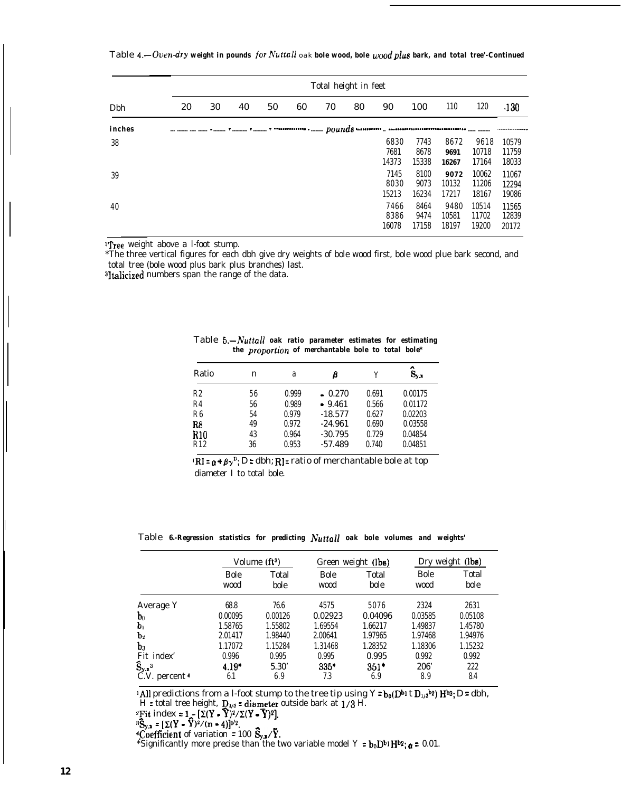Table 4.-Oven-dry weight in pounds for Nuttall oak bole wood, bole wood plus bark, and total tree'-Continued

|        | Total height in feet |    |    |    |    |    |    |                       |                       |                        |                         |                         |
|--------|----------------------|----|----|----|----|----|----|-----------------------|-----------------------|------------------------|-------------------------|-------------------------|
| Dbh    | 20                   | 30 | 40 | 50 | 60 | 70 | 80 | 90                    | 100                   | 110                    | 120                     | .130                    |
| inches |                      |    |    |    |    |    |    |                       |                       |                        |                         |                         |
| 38     |                      |    |    |    |    |    |    | 6830<br>7681<br>14373 | 7743<br>8678<br>15338 | 8672<br>9691<br>16267  | 9618<br>10718<br>17164  | 10579<br>11759<br>18033 |
| 39     |                      |    |    |    |    |    |    | 7145<br>8030<br>15213 | 8100<br>9073<br>16234 | 9072<br>10132<br>17217 | 10062<br>11206<br>18167 | 11067<br>12294<br>19086 |
| 40     |                      |    |    |    |    |    |    | 7466<br>8386<br>16078 | 8464<br>9474<br>17158 | 9480<br>10581<br>18197 | 10514<br>11702<br>19200 | 11565<br>12839<br>20172 |

'Tree weight above a l-foot stump.

\*The three vertical figures for each dbh give dry weights of bole wood first, bole wood plue bark second, and total tree (bole wood plus bark plus branches) last.

3ltalicized numbers span the range of the data.

| Ratio          | n  | a     | β         | V     | $\hat{S}_{y.x}$ |
|----------------|----|-------|-----------|-------|-----------------|
| R2             | 56 | 0.999 | $-0.270$  | 0.691 | 0.00175         |
| R <sub>4</sub> | 56 | 0.989 | $-9.461$  | 0.566 | 0.01172         |
| R <sub>6</sub> | 54 | 0.979 | $-18.577$ | 0.627 | 0.02203         |
| R8             | 49 | 0.972 | $-24.961$ | 0.690 | 0.03558         |
| R10            | 43 | 0.964 | $-30.795$ | 0.729 | 0.04854         |
| R12            | 36 | 0.953 | $-57.489$ | 0.740 | 0.04851         |

Table *5.-Nuttall oak ratio parameter estimates for estimating the proporiion of merchantable bole to total bole\**

 $\mathbb{R} \mathbf{I} = \mathbf{a} + \mathbf{\beta} \mathbf{y}^{\mathrm{D}}$ ; D: dbh; R<sub>1</sub>: ratio of merchantable bole at top diameter I to total bole.

Table *6.-Regression statistics for predicting Nuttall oak bole volumes and weights'*

|                                                            |                     | Volume $(ft^3)$ |              | Green weight (lbs) | Dry weight (lbs) |               |  |
|------------------------------------------------------------|---------------------|-----------------|--------------|--------------------|------------------|---------------|--|
|                                                            | <b>Bole</b><br>wood | Total<br>bole   | Bole<br>wood | Total<br>bole      | Bole<br>wood     | Total<br>bole |  |
| Average Y                                                  | 68.8                | 76.6            | 4575         | 5076               | 2324             | 2631          |  |
| $\mathbf{b}_0$                                             | 0.00095             | 0.00126         | 0.02923      | 0.04096            | 0.03585          | 0.05108       |  |
| $\mathbf{b}_1$                                             | 1.58765             | 1.55802         | 1.69554      | 1.66217            | 1.49837          | 1.45780       |  |
| b <sub>2</sub>                                             | 2.01417             | 1.98440         | 2.00641      | 1.97965            | 1.97468          | 1.94976       |  |
| $\mathbf{b}_3$                                             | 1.17072             | 1.15284         | 1.31468      | 1.28352            | 1.18306          | 1.15232       |  |
|                                                            | 0.996               | 0.995           | 0.995        | 0.995              | 0.992            | 0.992         |  |
| Fit index'<br>$\hat{\mathbf{S}}_{\mathbf{y},\mathbf{x}}^3$ | $4.19*$             | 5.30'           | $335*$       | $351*$             | 206'             | 222           |  |
| C.V. percent <sup>4</sup>                                  | 6.1                 | 6.9             | 7.3          | 6.9                | 8.9              | 8.4           |  |

'All predictions from a l-foot stump to the tree tip using  $Y = b_0(D^{b_1} t D_{1/3}^{b_2}) H^{b_3}; D = dbh$ ,  $H =$  total tree height,  $D_{1/3} =$  diameter outside bark at 1/3 H.

<sup>2</sup>Fit index =  $1 - [\Sigma(Y - \widehat{Y})^2/\Sigma(Y - \overline{Y})^2]$ .

 ${}^{3}\mathbf{\hat{S}}_{\mathbf{v},\mathbf{x}} = [\Sigma(\mathbf{Y} - \mathbf{Y})^{2}/(n-4)]^{1/2}.$ 

<sup>4</sup>Coefficient of variation = 100  $\vec{S}_{y,x}/\vec{Y}$ 

\*Significantly more precise than the two variable model Y =  $b_0D^{b_1}H^{b_2}$ ;  $\alpha$  = 0.01.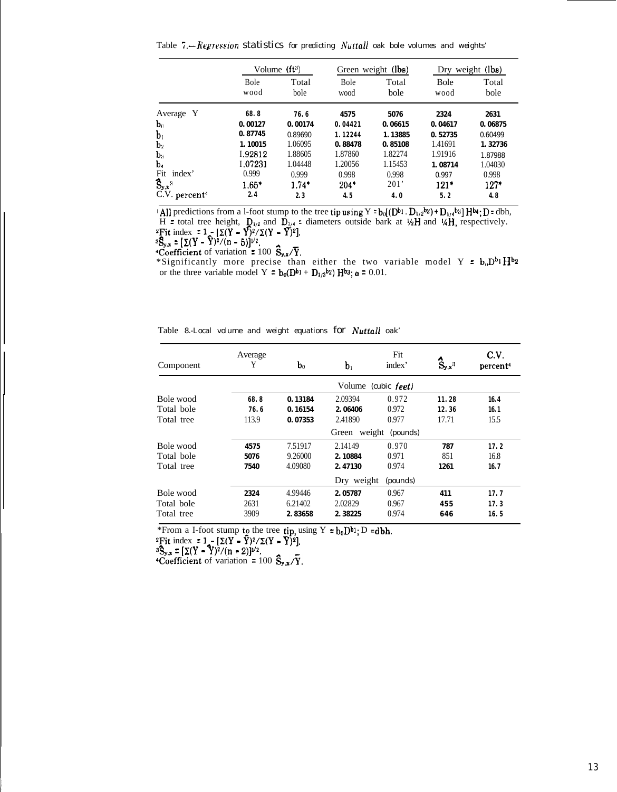Table *'T.--Regression statistics for predicting h'uttall oak bole volumes and weights'*

|                           |              | Volume $(ft^3)$ |              | Green weight (lbs) | Dry weight (lbs) |               |  |
|---------------------------|--------------|-----------------|--------------|--------------------|------------------|---------------|--|
|                           | Bole<br>wood | Total<br>bole   | Bole<br>wood | Total<br>bole      | Bole<br>wood     | Total<br>bole |  |
| Average Y                 | 68.8         | 76.6            | 4575         | 5076               | 2324             | 2631          |  |
| $\mathbf{b}_0$            | 0.00127      | 0.00174         | 0.04421      | 0.06615            | 0.04617          | 0.06875       |  |
| b <sub>1</sub>            | 0.87745      | 0.89690         | 1.12244      | 1.13885            | 0.52735          | 0.60499       |  |
| $\mathbf{b}_2$            | 1.10015      | 1.06095         | 0.88478      | 0.85108            | 1.41691          | 1.32736       |  |
| $\mathbf{b}_3$            | 1.92812      | 1.88605         | 1.87860      | 1.82274            | 1.91916          | 1.87988       |  |
| b.                        | 1.07231      | 1.04448         | 1.20056      | 1.15453            | 1.08714          | 1.04030       |  |
| Fit<br>index'             | 0.999        | 0.999           | 0.998        | 0.998              | 0.997            | 0.998         |  |
| $S_{y,x}$ <sup>3</sup>    | $1.65*$      | $1.74*$         | $204*$       | 201'               | $121*$           | $127*$        |  |
| C.V. percent <sup>4</sup> | 2.4          | 2.3             | 4.5          | 4.0                | 5.2              | 4.8           |  |

'All predictions from a l-foot stump to the tree tip using  $Y = b_0[(D^{b_1} \cdot D_{1/2}^{b_2}) + D_{1/4}^{b_3}] H^{b_4}$ ;  $D =$  dbh,  $H =$  total tree height,  $\mathbf{D}_{1/2}$  and  $\mathbf{D}_{1/4} =$  diameters outside bark at  $\mathcal{W}$  and  $\mathcal{W}$ , respectively.  $z\bar{F}$ it index = 1;  $[\Sigma(Y - Y)^2/\Sigma(Y - \overline{Y})^2]$ .

 ${}^{3}S_{y.x} = [\Sigma(Y - Y)^{2}/(n - 5)]^{1/2}.$ 

**Coefficient** of variation = 100  $\mathbf{\hat{S}_{y.x}}/\mathbf{\overline{Y}}$ 

\*Significantly more precise than either the two variable model Y =  $b_0D^{b_1}H^b$ or the three variable model Y =  $b_0(D^{b_1} + D_{1/3}b_2)$  Hbs;  $\alpha$  = 0.01.

Table *8.-Local volume and weight equations for Nuttall oak'*

| Component  | Average<br>Y | $\mathbf{b}_0$ | $\mathbf{b}_1$  | Fit<br>index'       | $S_{y,x}$ <sup>3</sup> | C.V.<br>percent <sup>4</sup> |
|------------|--------------|----------------|-----------------|---------------------|------------------------|------------------------------|
|            |              |                |                 | Volume (cubic feet) |                        |                              |
| Bole wood  | 68.8         | 0.13184        | 2.09394         | 0.972               | 11.28                  | 16.4                         |
| Total bole | 76.6         | 0.16154        | 2.06406         | 0.972               | 12.36                  | 16.1                         |
| Total tree | 113.9        | 0.07353        | 2.41890         | 0.977               | 17.71                  | 15.5                         |
|            |              |                | weight<br>Green | (pounds)            |                        |                              |
| Bole wood  | 4575         | 7.51917        | 2.14149         | 0.970               | 787                    | 17.2                         |
| Total bole | 5076         | 9.26000        | 2.10884         | 0.971               | 851                    | 16.8                         |
| Total tree | 7540         | 4.09080        | 2.47130         | 0.974               | 1261                   | 16.7                         |
|            |              |                | Dry weight      | (pounds)            |                        |                              |
| Bole wood  | 2324         | 4.99446        | 2.05787         | 0.967               | 411                    | 17.7                         |
| Total bole | 2631         | 6.21402        | 2.02829         | 0.967               | 455                    | 17.3                         |
| Total tree | 3909         | 2.83658        | 2.38225         | 0.974               | 646                    | 16.5                         |

\*From a I-foot stump to the tree  ${tip}$ , using Y =  $b_0D^{b_1}$ ; D =dbh.

<sup>2</sup>Fit index = 1<sub>1</sub> -  $[\Sigma(Y - Y)^2/\Sigma(Y - Y)^2]$ .

 ${}^{3}S_{y.x} = [\Sigma(Y - Y)^{2}/(n - 2)]^{1/2}.$ 

"Coefficient of variation = 100  $\frac{S_{y,x}}{T}$ .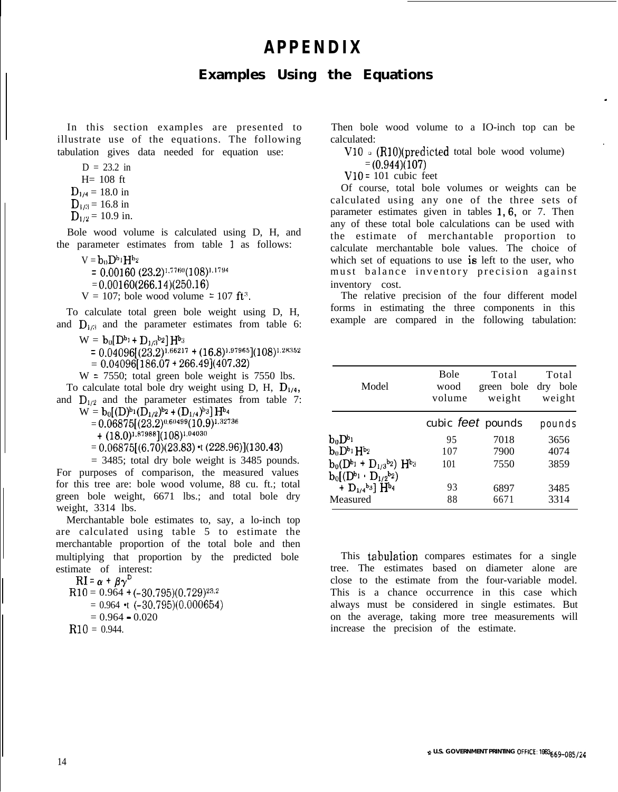# **APPENDIX**

### **Examples Using the Equations**

In this section examples are presented to illustrate use of the equations. The following tabulation gives data needed for equation use:

$$
D = 23.2 \text{ in}
$$

- $H = 108$  ft
- $D_{1/4} = 18.0$  in
- $D_{1/3}$  = 16.8 in
- $D_{1/2}$  = 10.9 in.

Bole wood volume is calculated using D, H, and the parameter estimates from table 1 as follows:

- $V = b_0 D^{b_1} H^{b_2}$ 
	- $= 0.00160 (23.2)^{1.7760} (108)^{1.1794}$
- $= 0.00160(266.14)(250.16)$
- $V = 107$ ; bole wood volume = 107 ft<sup>3</sup>.

To calculate total green bole weight using D, H, and  $D_{1/3}$  and the parameter estimates from table 6:

- $W = b_0[D^{b_1} + D_{1/3}b_2]H^{b_3}$
- $= 0.04096[(23.2)^{1.66217} + (16.8)^{1.97965}](108)^{1.28352}$  $= 0.04096[186.07 + 266.49](407.32)$

 $W = 7550$ ; total green bole weight is 7550 lbs.

To calculate total bole dry weight using D, H,  $D_{1/4}$ , and  $D_{1/2}$  and the parameter estimates from table 7:

- $W = b_0 [(D)^{b_1} (D_{1/2})^{b_2} + (D_{1/4})^{b_3}] H^{b_4}$ 
	- $= 0.06875[(23.2)^{0.60499}(10.9)^{1.32736}]$

 $+$  (18.0)<sup>1,87988</sup>](108)<sup>1,04030</sup>

 $= 0.06875[(6.70)(23.83) \cdot (228.96)](130.43)$ 

 $= 3485$ ; total dry bole weight is 3485 pounds. For purposes of comparison, the measured values for this tree are: bole wood volume, 88 cu. ft.; total green bole weight, 6671 lbs.; and total bole dry weight, 3314 lbs.

Merchantable bole estimates to, say, a lo-inch top are calculated using table 5 to estimate the merchantable proportion of the total bole and then multiplying that proportion by the predicted bole estimate of interest:

 $RI = \alpha + \beta \gamma^{D}$  $R10 = 0.964 + (-30.795)(0.729)^{23.2}$  $= 0.964$  •t  $(-30.795)(0.000654)$  $= 0.964 - 0.020$  $R10 = 0.944$ .

Then bole wood volume to a IO-inch top can be calculated:

 $V10$   $\alpha$  (R10)(predicted total bole wood volume)

.

 $= (0.944)(107)$ 

 $V10 = 101$  cubic feet

Of course, total bole volumes or weights can be calculated using any one of the three sets of parameter estimates given in tables 1,6, or 7. Then any of these total bole calculations can be used with the estimate of merchantable proportion to calculate merchantable bole values. The choice of which set of equations to use is left to the user, who must balance inventory precision against inventory cost.

The relative precision of the four different model forms in estimating the three components in this example are compared in the following tabulation:

| Model                                                              | <b>Bole</b><br>wood<br>volume | Total<br>green bole<br>weight | Total<br>dry bole<br>weight |  |
|--------------------------------------------------------------------|-------------------------------|-------------------------------|-----------------------------|--|
|                                                                    |                               | cubic feet pounds             | pounds                      |  |
| $\mathbf{b}_0 \mathbf{D}^{b_1}$                                    | 95                            | 7018                          | 3656                        |  |
| $\mathbf{b}_0 \mathbf{D}^{\mathsf{b}_1} \mathbf{H}^{\mathsf{b}_2}$ | 107                           | 7900                          | 4074                        |  |
| $b_0(D^{b_1} + D_{1/3}b_2)$ H <sup>b</sup> <sub>3</sub>            | 101                           | 7550                          | 3859                        |  |
| $b_0[(D^{b_1} \cdot D_{1/2}b_2)]$                                  |                               |                               |                             |  |
| + $D_{1/4}$ <sup>b<sub>3</sub> H<sup>b<sub>4</sub></sup></sup>     | 93                            | 6897                          | 3485                        |  |
| Measured                                                           | 88                            | 6671                          | 3314                        |  |

This tabulation compares estimates for a single tree. The estimates based on diameter alone are close to the estimate from the four-variable model. This is a chance occurrence in this case which always must be considered in single estimates. But on the average, taking more tree measurements will increase the precision of the estimate.